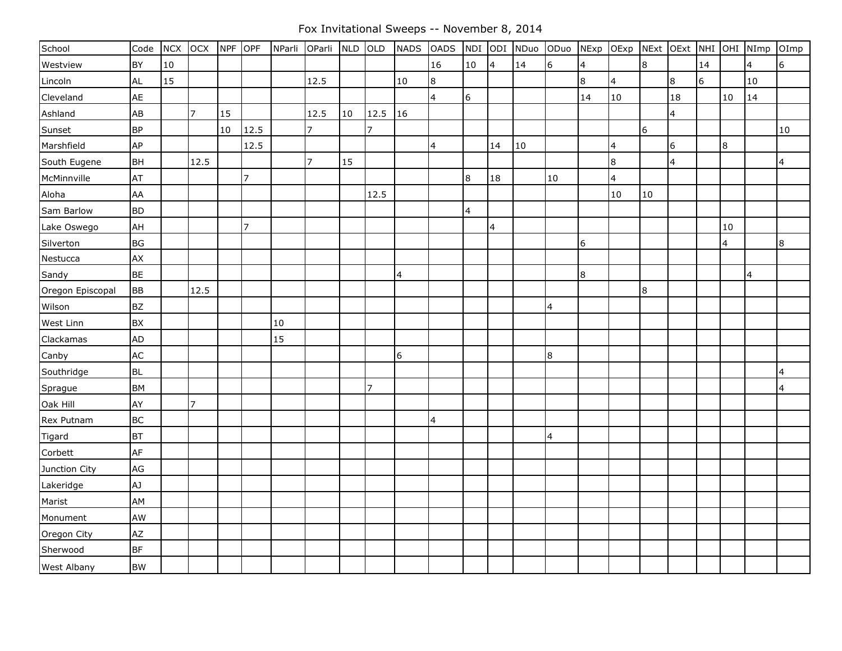Fox Invitational Sweeps -- November 8, 2014

| School           | Code      | <b>NCX</b> | OCX            | <b>NPF</b> | OPF            | NParli | OParli         | <b>NLD</b> | OLD            | <b>NADS</b>     | <b>OADS</b>             | NDI             | ODI            | NDuo | ODuo        | NExp           | OExp                    | NExt OExt |                |    |        | NHI OHI NImp | OImp            |
|------------------|-----------|------------|----------------|------------|----------------|--------|----------------|------------|----------------|-----------------|-------------------------|-----------------|----------------|------|-------------|----------------|-------------------------|-----------|----------------|----|--------|--------------|-----------------|
| Westview         | BY        | 10         |                |            |                |        |                |            |                |                 | 16                      | $10\,$          | $\overline{4}$ | 14   | $\mathbf 6$ | $\overline{4}$ |                         | 8         |                | 14 |        | 4            | $6\overline{6}$ |
| Lincoln          | <b>AL</b> | 15         |                |            |                |        | 12.5           |            |                | 10              | 8                       |                 |                |      |             | 8              | $\overline{4}$          |           | $8\phantom{.}$ | 6  |        | 10           |                 |
| Cleveland        | AE        |            |                |            |                |        |                |            |                |                 | $\overline{4}$          | $6\phantom{.}6$ |                |      |             | 14             | 10                      |           | 18             |    | $10\,$ | 14           |                 |
| Ashland          | AB        |            | 17             | 15         |                |        | 12.5           | 10         | 12.5           | 16              |                         |                 |                |      |             |                |                         |           | $\overline{4}$ |    |        |              |                 |
| Sunset           | <b>BP</b> |            |                | 10         | 12.5           |        | $\overline{7}$ |            | $\overline{7}$ |                 |                         |                 |                |      |             |                |                         | 6         |                |    |        |              | 10              |
| Marshfield       | <b>AP</b> |            |                |            | 12.5           |        |                |            |                |                 | $\overline{\mathbf{r}}$ |                 | 14             | 10   |             |                | $\overline{\mathbf{4}}$ |           | 6              |    | 8      |              |                 |
| South Eugene     | <b>BH</b> |            | 12.5           |            |                |        | $\overline{7}$ | 15         |                |                 |                         |                 |                |      |             |                | $\boldsymbol{8}$        |           | $\overline{4}$ |    |        |              | $\overline{4}$  |
| McMinnville      | AT        |            |                |            | $\overline{7}$ |        |                |            |                |                 |                         | 8               | 18             |      | $10\,$      |                | $\overline{4}$          |           |                |    |        |              |                 |
| Aloha            | AA        |            |                |            |                |        |                |            | 12.5           |                 |                         |                 |                |      |             |                | 10                      | 10        |                |    |        |              |                 |
| Sam Barlow       | <b>BD</b> |            |                |            |                |        |                |            |                |                 |                         | $\overline{4}$  |                |      |             |                |                         |           |                |    |        |              |                 |
| Lake Oswego      | AH        |            |                |            | $\overline{7}$ |        |                |            |                |                 |                         |                 | $\overline{4}$ |      |             |                |                         |           |                |    | $10\,$ |              |                 |
| Silverton        | <b>BG</b> |            |                |            |                |        |                |            |                |                 |                         |                 |                |      |             | 6              |                         |           |                |    | 4      |              | 8               |
| Nestucca         | <b>AX</b> |            |                |            |                |        |                |            |                |                 |                         |                 |                |      |             |                |                         |           |                |    |        |              |                 |
| Sandy            | <b>BE</b> |            |                |            |                |        |                |            |                | $\overline{4}$  |                         |                 |                |      |             | 8              |                         |           |                |    |        | 4            |                 |
| Oregon Episcopal | <b>BB</b> |            | 12.5           |            |                |        |                |            |                |                 |                         |                 |                |      |             |                |                         | 8         |                |    |        |              |                 |
| Wilson           | <b>BZ</b> |            |                |            |                |        |                |            |                |                 |                         |                 |                |      | 4           |                |                         |           |                |    |        |              |                 |
| West Linn        | <b>BX</b> |            |                |            |                | 10     |                |            |                |                 |                         |                 |                |      |             |                |                         |           |                |    |        |              |                 |
| Clackamas        | AD        |            |                |            |                | 15     |                |            |                |                 |                         |                 |                |      |             |                |                         |           |                |    |        |              |                 |
| Canby            | AC        |            |                |            |                |        |                |            |                | $6\overline{6}$ |                         |                 |                |      | $\bf 8$     |                |                         |           |                |    |        |              |                 |
| Southridge       | <b>BL</b> |            |                |            |                |        |                |            |                |                 |                         |                 |                |      |             |                |                         |           |                |    |        |              | $\overline{4}$  |
| Sprague          | <b>BM</b> |            |                |            |                |        |                |            | $\overline{7}$ |                 |                         |                 |                |      |             |                |                         |           |                |    |        |              | 4               |
| Oak Hill         | AY        |            | $\overline{7}$ |            |                |        |                |            |                |                 |                         |                 |                |      |             |                |                         |           |                |    |        |              |                 |
| Rex Putnam       | <b>BC</b> |            |                |            |                |        |                |            |                |                 | $\overline{4}$          |                 |                |      |             |                |                         |           |                |    |        |              |                 |
| Tigard           | <b>BT</b> |            |                |            |                |        |                |            |                |                 |                         |                 |                |      | 4           |                |                         |           |                |    |        |              |                 |
| Corbett          | AF        |            |                |            |                |        |                |            |                |                 |                         |                 |                |      |             |                |                         |           |                |    |        |              |                 |
| Junction City    | AG        |            |                |            |                |        |                |            |                |                 |                         |                 |                |      |             |                |                         |           |                |    |        |              |                 |
| Lakeridge        | LA        |            |                |            |                |        |                |            |                |                 |                         |                 |                |      |             |                |                         |           |                |    |        |              |                 |
| Marist           | AM        |            |                |            |                |        |                |            |                |                 |                         |                 |                |      |             |                |                         |           |                |    |        |              |                 |
| Monument         | AW        |            |                |            |                |        |                |            |                |                 |                         |                 |                |      |             |                |                         |           |                |    |        |              |                 |
| Oregon City      | AZ        |            |                |            |                |        |                |            |                |                 |                         |                 |                |      |             |                |                         |           |                |    |        |              |                 |
| Sherwood         | <b>BF</b> |            |                |            |                |        |                |            |                |                 |                         |                 |                |      |             |                |                         |           |                |    |        |              |                 |
| West Albany      | <b>BW</b> |            |                |            |                |        |                |            |                |                 |                         |                 |                |      |             |                |                         |           |                |    |        |              |                 |